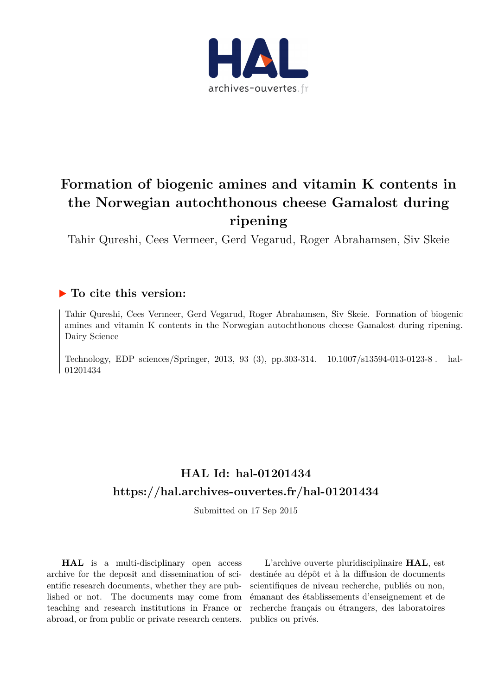

# **Formation of biogenic amines and vitamin K contents in the Norwegian autochthonous cheese Gamalost during ripening**

Tahir Qureshi, Cees Vermeer, Gerd Vegarud, Roger Abrahamsen, Siv Skeie

# **To cite this version:**

Tahir Qureshi, Cees Vermeer, Gerd Vegarud, Roger Abrahamsen, Siv Skeie. Formation of biogenic amines and vitamin K contents in the Norwegian autochthonous cheese Gamalost during ripening. Dairy Science

Technology, EDP sciences/Springer, 2013, 93 (3), pp.303-314. 10.1007/s13594-013-0123-8. hal-01201434ff

# **HAL Id: hal-01201434 <https://hal.archives-ouvertes.fr/hal-01201434>**

Submitted on 17 Sep 2015

**HAL** is a multi-disciplinary open access archive for the deposit and dissemination of scientific research documents, whether they are published or not. The documents may come from teaching and research institutions in France or abroad, or from public or private research centers.

L'archive ouverte pluridisciplinaire **HAL**, est destinée au dépôt et à la diffusion de documents scientifiques de niveau recherche, publiés ou non, émanant des établissements d'enseignement et de recherche français ou étrangers, des laboratoires publics ou privés.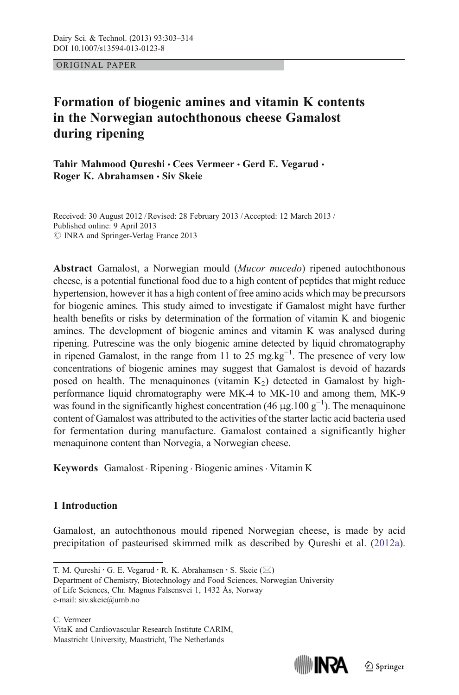ORIGINAL PAPER

# Formation of biogenic amines and vitamin K contents in the Norwegian autochthonous cheese Gamalost during ripening

Tahir Mahmood Qureshi · Cees Vermeer · Gerd E. Vegarud · Roger K. Abrahamsen · Siv Skeie

Received: 30 August 2012 /Revised: 28 February 2013 / Accepted: 12 March 2013 / Published online: 9 April 2013  $\odot$  INRA and Springer-Verlag France 2013

Abstract Gamalost, a Norwegian mould (Mucor mucedo) ripened autochthonous cheese, is a potential functional food due to a high content of peptides that might reduce hypertension, however it has a high content of free amino acids which may be precursors for biogenic amines. This study aimed to investigate if Gamalost might have further health benefits or risks by determination of the formation of vitamin K and biogenic amines. The development of biogenic amines and vitamin K was analysed during ripening. Putrescine was the only biogenic amine detected by liquid chromatography in ripened Gamalost, in the range from 11 to 25 mg.kg<sup>-1</sup>. The presence of very low concentrations of biogenic amines may suggest that Gamalost is devoid of hazards posed on health. The menaquinones (vitamin  $K<sub>2</sub>$ ) detected in Gamalost by highperformance liquid chromatography were MK-4 to MK-10 and among them, MK-9 was found in the significantly highest concentration (46  $\mu$ g.100 g<sup>-1</sup>). The menaquinone content of Gamalost was attributed to the activities of the starter lactic acid bacteria used for fermentation during manufacture. Gamalost contained a significantly higher menaquinone content than Norvegia, a Norwegian cheese.

Keywords Gamalost . Ripening . Biogenic amines . Vitamin K

# 1 Introduction

Gamalost, an autochthonous mould ripened Norwegian cheese, is made by acid precipitation of pasteurised skimmed milk as described by Qureshi et al. [\(2012a\)](#page-11-0).



T. M. Qureshi  $\cdot$  G. E. Vegarud  $\cdot$  R. K. Abrahamsen  $\cdot$  S. Skeie ( $\boxtimes$ )

Department of Chemistry, Biotechnology and Food Sciences, Norwegian University of Life Sciences, Chr. Magnus Falsensvei 1, 1432 Ås, Norway e-mail: siv.skeie@umb.no

C. Vermeer VitaK and Cardiovascular Research Institute CARIM, Maastricht University, Maastricht, The Netherlands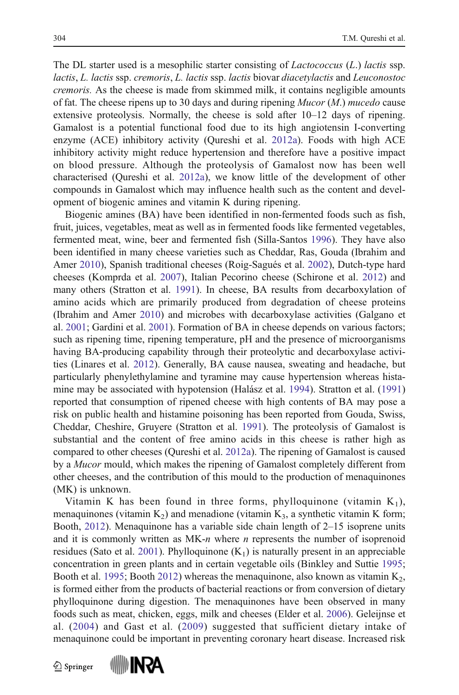The DL starter used is a mesophilic starter consisting of *Lactococcus* (*L.*) *lactis* ssp. lactis, L. lactis ssp. cremoris, L. lactis ssp. lactis biovar diacetylactis and Leuconostoc cremoris. As the cheese is made from skimmed milk, it contains negligible amounts of fat. The cheese ripens up to 30 days and during ripening  $Mucor (M)$  mucedo cause extensive proteolysis. Normally, the cheese is sold after 10–12 days of ripening. Gamalost is a potential functional food due to its high angiotensin I-converting enzyme (ACE) inhibitory activity (Qureshi et al. [2012a\)](#page-11-0). Foods with high ACE inhibitory activity might reduce hypertension and therefore have a positive impact on blood pressure. Although the proteolysis of Gamalost now has been well characterised (Qureshi et al. [2012a\)](#page-11-0), we know little of the development of other compounds in Gamalost which may influence health such as the content and development of biogenic amines and vitamin K during ripening.

Biogenic amines (BA) have been identified in non-fermented foods such as fish, fruit, juices, vegetables, meat as well as in fermented foods like fermented vegetables, fermented meat, wine, beer and fermented fish (Silla-Santos [1996\)](#page-12-0). They have also been identified in many cheese varieties such as Cheddar, Ras, Gouda (Ibrahim and Amer [2010](#page-11-0)), Spanish traditional cheeses (Roig-Sagués et al. [2002\)](#page-11-0), Dutch-type hard cheeses (Komprda et al. [2007](#page-11-0)), Italian Pecorino cheese (Schirone et al. [2012](#page-12-0)) and many others (Stratton et al. [1991\)](#page-12-0). In cheese, BA results from decarboxylation of amino acids which are primarily produced from degradation of cheese proteins (Ibrahim and Amer [2010\)](#page-11-0) and microbes with decarboxylase activities (Galgano et al. [2001](#page-11-0); Gardini et al. [2001](#page-11-0)). Formation of BA in cheese depends on various factors; such as ripening time, ripening temperature, pH and the presence of microorganisms having BA-producing capability through their proteolytic and decarboxylase activities (Linares et al. [2012\)](#page-11-0). Generally, BA cause nausea, sweating and headache, but particularly phenylethylamine and tyramine may cause hypertension whereas histamine may be associated with hypotension (Halász et al. [1994\)](#page-11-0). Stratton et al. [\(1991](#page-12-0)) reported that consumption of ripened cheese with high contents of BA may pose a risk on public health and histamine poisoning has been reported from Gouda, Swiss, Cheddar, Cheshire, Gruyere (Stratton et al. [1991](#page-12-0)). The proteolysis of Gamalost is substantial and the content of free amino acids in this cheese is rather high as compared to other cheeses (Qureshi et al. [2012a](#page-11-0)). The ripening of Gamalost is caused by a Mucor mould, which makes the ripening of Gamalost completely different from other cheeses, and the contribution of this mould to the production of menaquinones (MK) is unknown.

Vitamin K has been found in three forms, phylloquinone (vitamin  $K_1$ ), menaquinones (vitamin  $K_2$ ) and menadione (vitamin  $K_3$ , a synthetic vitamin K form; Booth, [2012\)](#page-10-0). Menaquinone has a variable side chain length of 2–15 isoprene units and it is commonly written as MK-n where n represents the number of isoprenoid residues (Sato et al. [2001](#page-12-0)). Phylloquinone  $(K_1)$  is naturally present in an appreciable concentration in green plants and in certain vegetable oils (Binkley and Suttie [1995;](#page-10-0) Booth et al. [1995](#page-11-0); Booth [2012\)](#page-10-0) whereas the menaquinone, also known as vitamin  $K_2$ , is formed either from the products of bacterial reactions or from conversion of dietary phylloquinone during digestion. The menaquinones have been observed in many foods such as meat, chicken, eggs, milk and cheeses (Elder et al. [2006\)](#page-11-0). Geleijnse et al. ([2004\)](#page-11-0) and Gast et al. ([2009](#page-11-0)) suggested that sufficient dietary intake of menaquinone could be important in preventing coronary heart disease. Increased risk

 $\mathcal{D}$  Springer

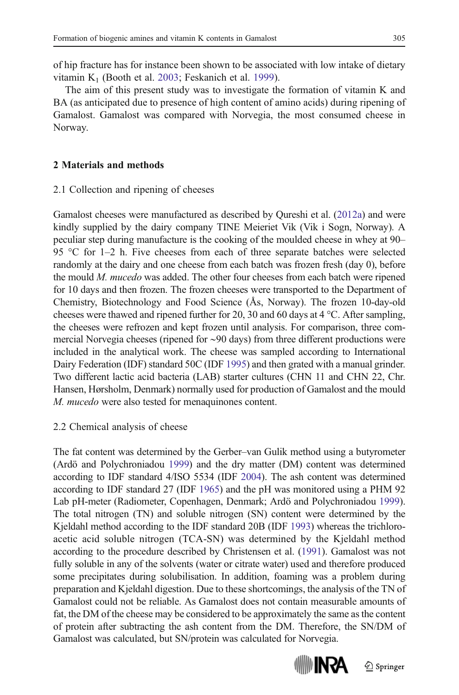of hip fracture has for instance been shown to be associated with low intake of dietary vitamin  $K_1$  (Booth et al. [2003](#page-11-0); Feskanich et al. [1999\)](#page-11-0).

The aim of this present study was to investigate the formation of vitamin K and BA (as anticipated due to presence of high content of amino acids) during ripening of Gamalost. Gamalost was compared with Norvegia, the most consumed cheese in Norway.

## 2 Materials and methods

### 2.1 Collection and ripening of cheeses

Gamalost cheeses were manufactured as described by Qureshi et al. ([2012a\)](#page-11-0) and were kindly supplied by the dairy company TINE Meieriet Vik (Vik i Sogn, Norway). A peculiar step during manufacture is the cooking of the moulded cheese in whey at 90– 95 °C for 1–2 h. Five cheeses from each of three separate batches were selected randomly at the dairy and one cheese from each batch was frozen fresh (day 0), before the mould M. mucedo was added. The other four cheeses from each batch were ripened for 10 days and then frozen. The frozen cheeses were transported to the Department of Chemistry, Biotechnology and Food Science (Ås, Norway). The frozen 10-day-old cheeses were thawed and ripened further for 20, 30 and 60 days at 4 °C. After sampling, the cheeses were refrozen and kept frozen until analysis. For comparison, three commercial Norvegia cheeses (ripened for ∼90 days) from three different productions were included in the analytical work. The cheese was sampled according to International Dairy Federation (IDF) standard 50C (IDF [1995](#page-11-0)) and then grated with a manual grinder. Two different lactic acid bacteria (LAB) starter cultures (CHN 11 and CHN 22, Chr. Hansen, Hørsholm, Denmark) normally used for production of Gamalost and the mould M. mucedo were also tested for menaquinones content.

#### 2.2 Chemical analysis of cheese

The fat content was determined by the Gerber–van Gulik method using a butyrometer (Ardö and Polychroniadou [1999](#page-10-0)) and the dry matter (DM) content was determined according to IDF standard 4/ISO 5534 (IDF [2004](#page-11-0)). The ash content was determined according to IDF standard 27 (IDF [1965](#page-11-0)) and the pH was monitored using a PHM 92 Lab pH-meter (Radiometer, Copenhagen, Denmark; Ardö and Polychroniadou [1999\)](#page-10-0). The total nitrogen (TN) and soluble nitrogen (SN) content were determined by the Kjeldahl method according to the IDF standard 20B (IDF [1993\)](#page-11-0) whereas the trichloroacetic acid soluble nitrogen (TCA-SN) was determined by the Kjeldahl method according to the procedure described by Christensen et al. ([1991](#page-11-0)). Gamalost was not fully soluble in any of the solvents (water or citrate water) used and therefore produced some precipitates during solubilisation. In addition, foaming was a problem during preparation and Kjeldahl digestion. Due to these shortcomings, the analysis of the TN of Gamalost could not be reliable. As Gamalost does not contain measurable amounts of fat, the DM of the cheese may be considered to be approximately the same as the content of protein after subtracting the ash content from the DM. Therefore, the SN/DM of Gamalost was calculated, but SN/protein was calculated for Norvegia.

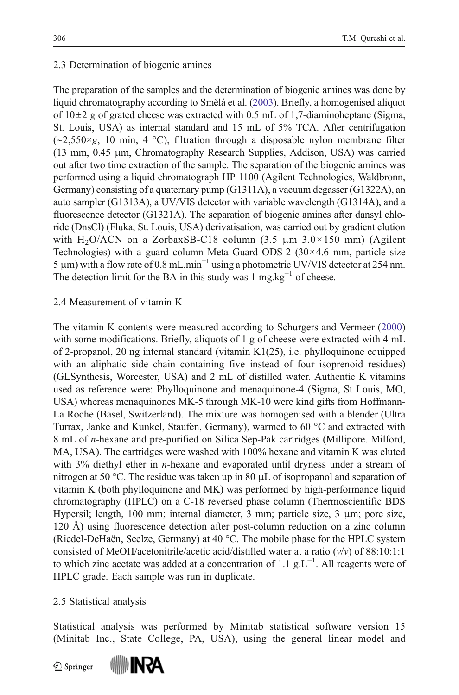# 2.3 Determination of biogenic amines

The preparation of the samples and the determination of biogenic amines was done by liquid chromatography according to Smělá et al. [\(2003\)](#page-12-0). Briefly, a homogenised aliquot of  $10\pm 2$  g of grated cheese was extracted with 0.5 mL of 1,7-diaminoheptane (Sigma, St. Louis, USA) as internal standard and 15 mL of 5% TCA. After centrifugation (∼2,550×g, 10 min, 4 °C), filtration through a disposable nylon membrane filter (13 mm, 0.45 μm, Chromatography Research Supplies, Addison, USA) was carried out after two time extraction of the sample. The separation of the biogenic amines was performed using a liquid chromatograph HP 1100 (Agilent Technologies, Waldbronn, Germany) consisting of a quaternary pump (G1311A), a vacuum degasser (G1322A), an auto sampler (G1313A), a UV/VIS detector with variable wavelength (G1314A), and a fluorescence detector (G1321A). The separation of biogenic amines after dansyl chloride (DnsCl) (Fluka, St. Louis, USA) derivatisation, was carried out by gradient elution with H<sub>2</sub>O/ACN on a ZorbaxSB-C18 column (3.5  $\mu$ m 3.0×150 mm) (Agilent Technologies) with a guard column Meta Guard ODS-2  $(30 \times 4.6 \text{ mm})$ , particle size 5 μm) with a flow rate of 0.8 mL.min<sup>-1</sup> using a photometric UV/VIS detector at 254 nm. The detection limit for the BA in this study was  $1 \text{ mg} \cdot \text{kg}^{-1}$  of cheese.

# 2.4 Measurement of vitamin K

The vitamin K contents were measured according to Schurgers and Vermeer [\(2000](#page-12-0)) with some modifications. Briefly, aliquots of 1 g of cheese were extracted with 4 mL of 2-propanol, 20 ng internal standard (vitamin K1(25), i.e. phylloquinone equipped with an aliphatic side chain containing five instead of four isoprenoid residues) (GLSynthesis, Worcester, USA) and 2 mL of distilled water. Authentic K vitamins used as reference were: Phylloquinone and menaquinone-4 (Sigma, St Louis, MO, USA) whereas menaquinones MK-5 through MK-10 were kind gifts from Hoffmann-La Roche (Basel, Switzerland). The mixture was homogenised with a blender (Ultra Turrax, Janke and Kunkel, Staufen, Germany), warmed to 60 °C and extracted with 8 mL of n-hexane and pre-purified on Silica Sep-Pak cartridges (Millipore. Milford, MA, USA). The cartridges were washed with 100% hexane and vitamin K was eluted with 3% diethyl ether in *n*-hexane and evaporated until dryness under a stream of nitrogen at 50 °C. The residue was taken up in 80 μL of isopropanol and separation of vitamin K (both phylloquinone and MK) was performed by high-performance liquid chromatography (HPLC) on a C-18 reversed phase column (Thermoscientific BDS Hypersil; length, 100 mm; internal diameter, 3 mm; particle size, 3 μm; pore size, 120 Å) using fluorescence detection after post-column reduction on a zinc column (Riedel-DeHaën, Seelze, Germany) at 40 °C. The mobile phase for the HPLC system consisted of MeOH/acetonitrile/acetic acid/distilled water at a ratio  $(v/v)$  of 88:10:1:1 to which zinc acetate was added at a concentration of 1.1  $g.L^{-1}$ . All reagents were of HPLC grade. Each sample was run in duplicate.

# 2.5 Statistical analysis

Statistical analysis was performed by Minitab statistical software version 15 (Minitab Inc., State College, PA, USA), using the general linear model and

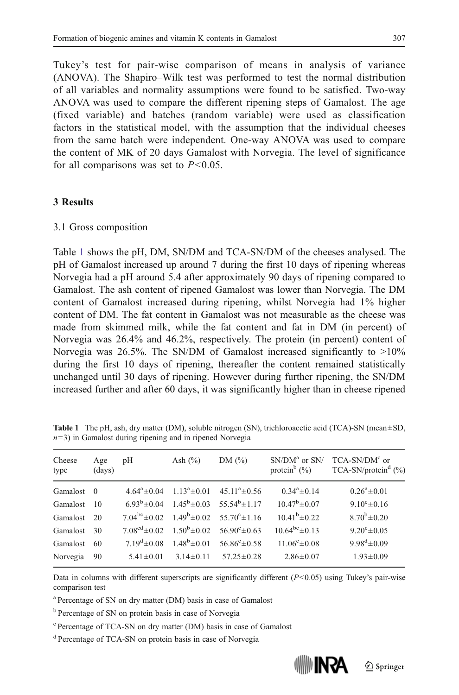Tukey's test for pair-wise comparison of means in analysis of variance (ANOVA). The Shapiro–Wilk test was performed to test the normal distribution of all variables and normality assumptions were found to be satisfied. Two-way ANOVA was used to compare the different ripening steps of Gamalost. The age (fixed variable) and batches (random variable) were used as classification factors in the statistical model, with the assumption that the individual cheeses from the same batch were independent. One-way ANOVA was used to compare the content of MK of 20 days Gamalost with Norvegia. The level of significance for all comparisons was set to  $P<0.05$ .

#### 3 Results

#### 3.1 Gross composition

Table 1 shows the pH, DM, SN/DM and TCA-SN/DM of the cheeses analysed. The pH of Gamalost increased up around 7 during the first 10 days of ripening whereas Norvegia had a pH around 5.4 after approximately 90 days of ripening compared to Gamalost. The ash content of ripened Gamalost was lower than Norvegia. The DM content of Gamalost increased during ripening, whilst Norvegia had 1% higher content of DM. The fat content in Gamalost was not measurable as the cheese was made from skimmed milk, while the fat content and fat in DM (in percent) of Norvegia was 26.4% and 46.2%, respectively. The protein (in percent) content of Norvegia was 26.5%. The SN/DM of Gamalost increased significantly to  $>10\%$ during the first 10 days of ripening, thereafter the content remained statistically unchanged until 30 days of ripening. However during further ripening, the SN/DM increased further and after 60 days, it was significantly higher than in cheese ripened

| Cheese<br>type | Age<br>(days)  | pH              | Ash $(\% )$                         | DM $(\% )$                                                                         | $SN/DMa$ or $SN/$<br>protein $(\%)$ | $TCA-SN/DMc$ or<br>TCA-SN/protein <sup>d</sup> $(\% )$ |
|----------------|----------------|-----------------|-------------------------------------|------------------------------------------------------------------------------------|-------------------------------------|--------------------------------------------------------|
| Gamalost       | $\overline{0}$ |                 | $4.64^a \pm 0.04$ $1.13^a \pm 0.01$ | $45.11^a \pm 0.56$                                                                 | $0.34^a \pm 0.14$                   | $0.26^a \pm 0.01$                                      |
| Gamalost       | -10            |                 |                                     | $6.93^b \pm 0.04$ $1.45^b \pm 0.03$ $55.54^b \pm 1.17$                             | $10.47^b \pm 0.07$                  | $9.10^{\circ} \pm 0.16$                                |
| Gamalost       | -20            |                 |                                     | $7.04^{bc} \pm 0.02$ $1.49^{b} \pm 0.02$ $55.70^{c} \pm 1.16$                      | $10.41^b \pm 0.22$                  | $8.70^{b} \pm 0.20$                                    |
| Gamalost       | 30             |                 |                                     | $7.08^{\text{cd}} \pm 0.02$ $1.50^{\text{b}} \pm 0.02$ $56.90^{\text{c}} \pm 0.63$ | $10.64^{bc} \pm 0.13$               | $9.20^{\circ} \pm 0.05$                                |
| Gamalost       | 60             |                 |                                     | $7.19^{d} \pm 0.08$ $1.48^{b} \pm 0.01$ $56.86^{c} \pm 0.58$                       | $11.06^{\circ} \pm 0.08$            | $9.98^{\rm d} \pm 0.09$                                |
| Norvegia       | 90             | $5.41 \pm 0.01$ | $3.14 \pm 0.11$                     | $57.25 \pm 0.28$                                                                   | $2.86 \pm 0.07$                     | $1.93 \pm 0.09$                                        |

Table 1 The pH, ash, dry matter (DM), soluble nitrogen (SN), trichloroacetic acid (TCA)-SN (mean±SD,  $n=3$ ) in Gamalost during ripening and in ripened Norvegia

Data in columns with different superscripts are significantly different  $(P<0.05)$  using Tukey's pair-wise comparison test

<sup>a</sup> Percentage of SN on dry matter (DM) basis in case of Gamalost

<sup>b</sup> Percentage of SN on protein basis in case of Norvegia

<sup>c</sup> Percentage of TCA-SN on dry matter (DM) basis in case of Gamalost

<sup>d</sup> Percentage of TCA-SN on protein basis in case of Norvegia

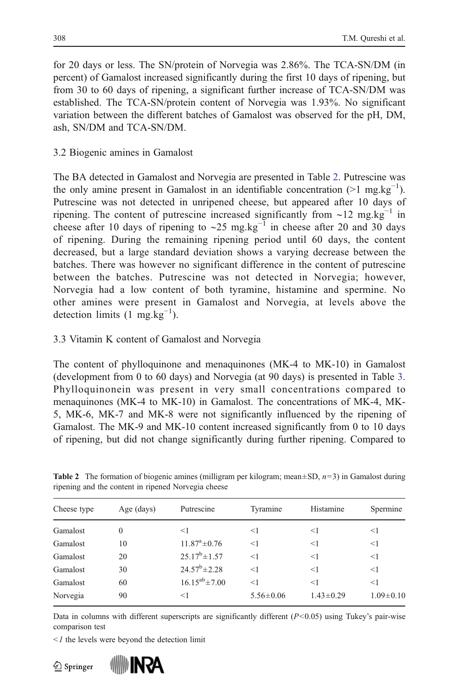for 20 days or less. The SN/protein of Norvegia was 2.86%. The TCA-SN/DM (in percent) of Gamalost increased significantly during the first 10 days of ripening, but from 30 to 60 days of ripening, a significant further increase of TCA-SN/DM was established. The TCA-SN/protein content of Norvegia was 1.93%. No significant variation between the different batches of Gamalost was observed for the pH, DM, ash, SN/DM and TCA-SN/DM.

# 3.2 Biogenic amines in Gamalost

The BA detected in Gamalost and Norvegia are presented in Table 2. Putrescine was the only amine present in Gamalost in an identifiable concentration  $(>1 \text{ mg.kg}^{-1})$ . Putrescine was not detected in unripened cheese, but appeared after 10 days of ripening. The content of putrescine increased significantly from ~12 mg.kg<sup>-1</sup> in cheese after 10 days of ripening to ~25 mg.kg<sup>-1</sup> in cheese after 20 and 30 days of ripening. During the remaining ripening period until 60 days, the content decreased, but a large standard deviation shows a varying decrease between the batches. There was however no significant difference in the content of putrescine between the batches. Putrescine was not detected in Norvegia; however, Norvegia had a low content of both tyramine, histamine and spermine. No other amines were present in Gamalost and Norvegia, at levels above the detection limits  $(1 \text{ mg.kg}^{-1})$ .

# 3.3 Vitamin K content of Gamalost and Norvegia

The content of phylloquinone and menaquinones (MK-4 to MK-10) in Gamalost (development from 0 to 60 days) and Norvegia (at 90 days) is presented in Table [3.](#page-7-0) Phylloquinonein was present in very small concentrations compared to menaquinones (MK-4 to MK-10) in Gamalost. The concentrations of MK-4, MK-5, MK-6, MK-7 and MK-8 were not significantly influenced by the ripening of Gamalost. The MK-9 and MK-10 content increased significantly from 0 to 10 days of ripening, but did not change significantly during further ripening. Compared to

| Cheese type | Age $(days)$ | Putrescine             | Tyramine        | Histamine       | Spermine        |
|-------------|--------------|------------------------|-----------------|-----------------|-----------------|
| Gamalost    | 0            | $<$ 1                  | $<$ 1           | $<$ 1           | <1              |
| Gamalost    | 10           | $11.87^{\rm a}$ ± 0.76 | $<$ 1           | $<$ 1           | $<$ 1           |
| Gamalost    | 20           | $25.17^b \pm 1.57$     | <1              | $<$ 1           | $<$ 1           |
| Gamalost    | 30           | $24.57^b \pm 2.28$     | <1              | $<$ 1           | $<$ 1           |
| Gamalost    | 60           | $16.15^{ab} \pm 7.00$  | $<$ 1           | $<$ 1           | $<$ 1           |
| Norvegia    | 90           | $<$ 1                  | $5.56 \pm 0.06$ | $1.43 \pm 0.29$ | $1.09 \pm 0.10$ |
|             |              |                        |                 |                 |                 |

**Table 2** The formation of biogenic amines (milligram per kilogram; mean $\pm$ SD,  $n=3$ ) in Gamalost during ripening and the content in ripened Norvegia cheese

Data in columns with different superscripts are significantly different  $(P<0.05)$  using Tukey's pair-wise comparison test

 $\leq$  1 the levels were beyond the detection limit



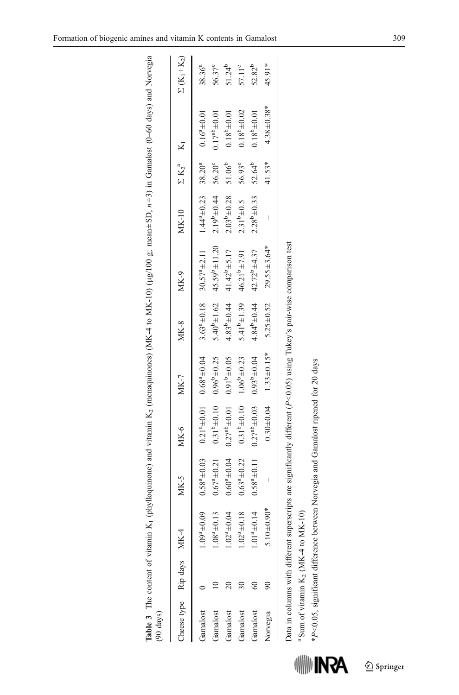<span id="page-7-0"></span>

| $(90 \text{ days})$ |                           |                                                   |                       |                      |                       |                     | Table 3 The content of vitamin K <sub>1</sub> (phylloquinone) and vitamin K <sub>2</sub> (menaquinones) (MK4 to MK-10) (µg/100 g; mean+SD, n=3) in Gamalost (0-60 days) and Norvegia |                                            |                      |                      |                                            |
|---------------------|---------------------------|---------------------------------------------------|-----------------------|----------------------|-----------------------|---------------------|--------------------------------------------------------------------------------------------------------------------------------------------------------------------------------------|--------------------------------------------|----------------------|----------------------|--------------------------------------------|
|                     | Cheese type Rip days MK-4 |                                                   | MK-5                  | $MK-6$               | <b>MK-7</b>           | <b>MK-8</b>         | MK-9                                                                                                                                                                                 | <b>MK-10</b>                               | $\Sigma K_2^a$ $K_1$ |                      | $\Sigma$ (K <sub>1</sub> +K <sub>2</sub> ) |
| Gamalost            |                           | $0.09^a \pm 0.09$                                 | $0.58^a \pm 0.03$     | $0.21^{a} \pm 0.01$  | $0.68^{a} + 0.04$     |                     | $3.63^{\circ} \pm 0.18$ $30.57^{\circ} \pm 2.11$                                                                                                                                     | $1.44^{\circ} \pm 0.23$ 38.20 <sup>a</sup> |                      | $0.16^a \pm 0.01$    | $38.36^{a}$                                |
| Gamalost            |                           | $.08^{a} \pm 0.13$                                | $0.67^a \pm 0.21$     | $0.31^{b} \pm 0.10$  | $0.96^{b} \pm 0.25$   | $5.40^{b} \pm 1.62$ | $45.59^b \pm 11.20$                                                                                                                                                                  | $2.19^{b} \pm 0.44$                        | 56.20°               | $0.17^{ab} \pm 0.01$ | 56.37°                                     |
| Gamalost            |                           | $.02^{a} \pm 0.04$                                | $0.60^{a} + 0.04$     | $0.27^{ab} \pm 0.01$ | $0.91^{b} \pm 0.05$   | $4.83^{b} \pm 0.44$ | $41.42^{b} \pm 5.17$                                                                                                                                                                 | $2.03^{b} \pm 0.28$                        | $51.06^{b}$          | $0.18^{b} \pm 0.01$  | $51.24^{b}$                                |
| Gamalost            |                           | $.02^{a} \pm 0.18$                                | $0.63^{\circ} + 0.22$ | $0.31^{b} \pm 0.10$  | $1.06^{\rm b}$ ± 0.23 | $5.41^{b} \pm 1.39$ | $46.21^{b} \pm 7.91$                                                                                                                                                                 | $2.31^{b} \pm 0.5$                         | 56.93°               | $0.18^{b} \pm 0.02$  | $57.11^{\circ}$                            |
| Gamalost            |                           | $.01^{a} \pm 0.14$                                | $0.58^{a} \pm 0.11$   | $0.27^{ab} \pm 0.03$ | $0.93^{b} + 0.04$     | $4.84^{b} \pm 0.44$ | $42.72^{b}$ ±4.37                                                                                                                                                                    | $2.28^{b} \pm 0.33$                        | 52.64 <sup>b</sup>   | $0.18^{b} \pm 0.01$  | 52.82 <sup>b</sup>                         |
| Norvegia            |                           | $.90*$<br>$5.10 \pm 0.$                           |                       | $0.30 + 0.04$        | $1.33 \pm 0.15*$      | $5.25 \pm 0.52$     | $29.55 \pm 3.64*$                                                                                                                                                                    |                                            | 41.53*               | $4.38 \pm 0.38*$     | 45.91*                                     |
|                     |                           |                                                   |                       |                      |                       |                     |                                                                                                                                                                                      |                                            |                      |                      |                                            |
|                     |                           |                                                   |                       |                      |                       |                     | Data in columns with different superscripts are significantly different $(P<0.05)$ using Tukey's pair-wise comparison test                                                           |                                            |                      |                      |                                            |
|                     |                           | <sup>a</sup> Sum of vitamin $K_2$ (MK-4 to MK-10) |                       |                      |                       |                     |                                                                                                                                                                                      |                                            |                      |                      |                                            |

**ASAI** 

\*P<0.05, significant difference between Norvegia and Gamalost ripened for 20 days

\*P<0.05, significant difference between Norvegia and Gamalost ripened for 20 days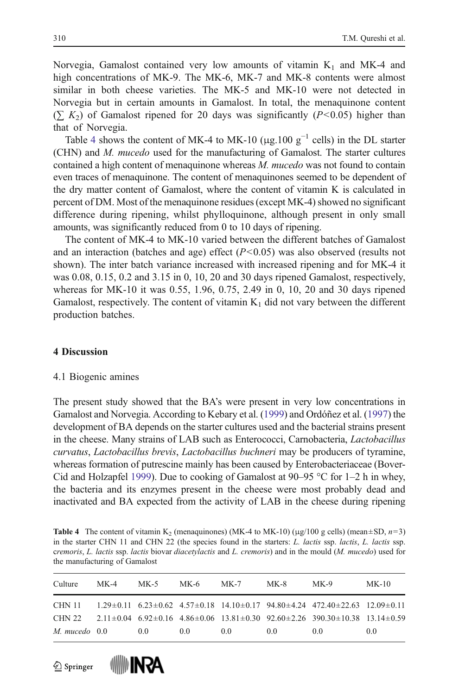Norvegia, Gamalost contained very low amounts of vitamin  $K_1$  and MK-4 and high concentrations of MK-9. The MK-6, MK-7 and MK-8 contents were almost similar in both cheese varieties. The MK-5 and MK-10 were not detected in Norvegia but in certain amounts in Gamalost. In total, the menaquinone content  $(\sum K_2)$  of Gamalost ripened for 20 days was significantly (P<0.05) higher than that of Norvegia.

Table 4 shows the content of MK-4 to MK-10 (μg.100  $g^{-1}$  cells) in the DL starter (CHN) and M. mucedo used for the manufacturing of Gamalost. The starter cultures contained a high content of menaquinone whereas M. mucedo was not found to contain even traces of menaquinone. The content of menaquinones seemed to be dependent of the dry matter content of Gamalost, where the content of vitamin K is calculated in percent of DM. Most of the menaquinone residues (except MK-4) showed no significant difference during ripening, whilst phylloquinone, although present in only small amounts, was significantly reduced from 0 to 10 days of ripening.

The content of MK-4 to MK-10 varied between the different batches of Gamalost and an interaction (batches and age) effect  $(P<0.05)$  was also observed (results not shown). The inter batch variance increased with increased ripening and for MK-4 it was 0.08, 0.15, 0.2 and 3.15 in 0, 10, 20 and 30 days ripened Gamalost, respectively, whereas for MK-10 it was 0.55, 1.96, 0.75, 2.49 in 0, 10, 20 and 30 days ripened Gamalost, respectively. The content of vitamin  $K_1$  did not vary between the different production batches.

#### 4 Discussion

### 4.1 Biogenic amines

The present study showed that the BA's were present in very low concentrations in Gamalost and Norvegia. According to Kebary et al. ([1999](#page-11-0)) and Ordóñez et al. ([1997](#page-11-0)) the development of BA depends on the starter cultures used and the bacterial strains present in the cheese. Many strains of LAB such as Enterococci, Carnobacteria, Lactobacillus curvatus, Lactobacillus brevis, Lactobacillus buchneri may be producers of tyramine, whereas formation of putrescine mainly has been caused by Enterobacteriaceae (Bover-Cid and Holzapfel [1999\)](#page-11-0). Due to cooking of Gamalost at 90–95 °C for 1–2 h in whey, the bacteria and its enzymes present in the cheese were most probably dead and inactivated and BA expected from the activity of LAB in the cheese during ripening

**Table 4** The content of vitamin K<sub>2</sub> (menaquinones) (MK-4 to MK-10) ( $\mu$ g/100 g cells) (mean±SD,  $n=3$ ) in the starter CHN 11 and CHN 22 (the species found in the starters: L. lactis ssp. lactis, L. lactis ssp. cremoris, L. lactis ssp. lactis biovar diacetylactis and L. cremoris) and in the mould (M. mucedo) used for the manufacturing of Gamalost

| Culture           | MK-4 | MK-5           | MK-6           | $MK-7$         | MK-8 | $MK-9$                                                                                                                       | $MK-10$ |
|-------------------|------|----------------|----------------|----------------|------|------------------------------------------------------------------------------------------------------------------------------|---------|
|                   |      |                |                |                |      | CHN 11 1.29 $\pm$ 0.11 6.23 $\pm$ 0.62 4.57 $\pm$ 0.18 14.10 $\pm$ 0.17 94.80 $\pm$ 4.24 472.40 $\pm$ 22.63 12.09 $\pm$ 0.11 |         |
|                   |      |                |                |                |      | CHN 22 2.11 $\pm$ 0.04 6.92 $\pm$ 0.16 4.86 $\pm$ 0.06 13.81 $\pm$ 0.30 92.60 $\pm$ 2.26 390.30 $\pm$ 10.38 13.14 $\pm$ 0.59 |         |
| $M.$ mucedo $0.0$ |      | 0 <sub>0</sub> | 0 <sub>0</sub> | 0 <sub>0</sub> | 00   | 0 <sub>0</sub>                                                                                                               | 0.0     |



**WWW INRA**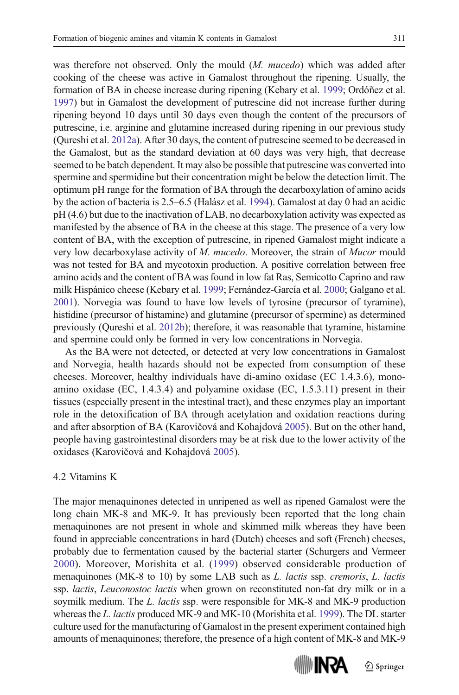was therefore not observed. Only the mould (*M. mucedo*) which was added after cooking of the cheese was active in Gamalost throughout the ripening. Usually, the formation of BA in cheese increase during ripening (Kebary et al. [1999](#page-11-0); Ordóñez et al. [1997\)](#page-11-0) but in Gamalost the development of putrescine did not increase further during ripening beyond 10 days until 30 days even though the content of the precursors of putrescine, i.e. arginine and glutamine increased during ripening in our previous study (Qureshi et al. [2012a\)](#page-11-0). After 30 days, the content of putrescine seemed to be decreased in the Gamalost, but as the standard deviation at 60 days was very high, that decrease seemed to be batch dependent. It may also be possible that putrescine was converted into spermine and spermidine but their concentration might be below the detection limit. The optimum pH range for the formation of BA through the decarboxylation of amino acids by the action of bacteria is 2.5–6.5 (Halász et al. [1994\)](#page-11-0). Gamalost at day 0 had an acidic pH (4.6) but due to the inactivation of LAB, no decarboxylation activity was expected as manifested by the absence of BA in the cheese at this stage. The presence of a very low content of BA, with the exception of putrescine, in ripened Gamalost might indicate a very low decarboxylase activity of M. mucedo. Moreover, the strain of Mucor mould was not tested for BA and mycotoxin production. A positive correlation between free amino acids and the content of BAwas found in low fat Ras, Semicotto Caprino and raw milk Hispánico cheese (Kebary et al. [1999](#page-11-0); Fernández-García et al. [2000](#page-11-0); Galgano et al. [2001\)](#page-11-0). Norvegia was found to have low levels of tyrosine (precursor of tyramine), histidine (precursor of histamine) and glutamine (precursor of spermine) as determined previously (Qureshi et al. [2012b\)](#page-11-0); therefore, it was reasonable that tyramine, histamine and spermine could only be formed in very low concentrations in Norvegia.

As the BA were not detected, or detected at very low concentrations in Gamalost and Norvegia, health hazards should not be expected from consumption of these cheeses. Moreover, healthy individuals have di-amino oxidase (EC 1.4.3.6), monoamino oxidase (EC, 1.4.3.4) and polyamine oxidase (EC, 1.5.3.11) present in their tissues (especially present in the intestinal tract), and these enzymes play an important role in the detoxification of BA through acetylation and oxidation reactions during and after absorption of BA (Karovičová and Kohajdová [2005\)](#page-11-0). But on the other hand, people having gastrointestinal disorders may be at risk due to the lower activity of the oxidases (Karovičová and Kohajdová [2005](#page-11-0)).

## 4.2 Vitamins K

The major menaquinones detected in unripened as well as ripened Gamalost were the long chain MK-8 and MK-9. It has previously been reported that the long chain menaquinones are not present in whole and skimmed milk whereas they have been found in appreciable concentrations in hard (Dutch) cheeses and soft (French) cheeses, probably due to fermentation caused by the bacterial starter (Schurgers and Vermeer [2000\)](#page-12-0). Moreover, Morishita et al. ([1999\)](#page-11-0) observed considerable production of menaquinones (MK-8 to 10) by some LAB such as *L. lactis* ssp. *cremoris*, *L. lactis* ssp. lactis, Leuconostoc lactis when grown on reconstituted non-fat dry milk or in a soymilk medium. The L. *lactis* ssp. were responsible for MK-8 and MK-9 production whereas the L. lactis produced MK-9 and MK-10 (Morishita et al. [1999\)](#page-11-0). The DL starter culture used for the manufacturing of Gamalost in the present experiment contained high amounts of menaquinones; therefore, the presence of a high content of MK-8 and MK-9

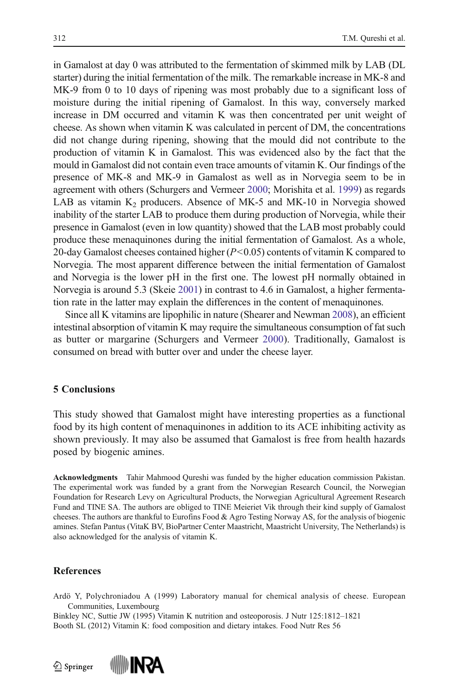<span id="page-10-0"></span>in Gamalost at day 0 was attributed to the fermentation of skimmed milk by LAB (DL starter) during the initial fermentation of the milk. The remarkable increase in MK-8 and MK-9 from 0 to 10 days of ripening was most probably due to a significant loss of moisture during the initial ripening of Gamalost. In this way, conversely marked increase in DM occurred and vitamin K was then concentrated per unit weight of cheese. As shown when vitamin K was calculated in percent of DM, the concentrations did not change during ripening, showing that the mould did not contribute to the production of vitamin K in Gamalost. This was evidenced also by the fact that the mould in Gamalost did not contain even trace amounts of vitamin K. Our findings of the presence of MK-8 and MK-9 in Gamalost as well as in Norvegia seem to be in agreement with others (Schurgers and Vermeer [2000](#page-12-0); Morishita et al. [1999](#page-11-0)) as regards LAB as vitamin  $K_2$  producers. Absence of MK-5 and MK-10 in Norvegia showed inability of the starter LAB to produce them during production of Norvegia, while their presence in Gamalost (even in low quantity) showed that the LAB most probably could produce these menaquinones during the initial fermentation of Gamalost. As a whole, 20-day Gamalost cheeses contained higher  $(P< 0.05)$  contents of vitamin K compared to Norvegia. The most apparent difference between the initial fermentation of Gamalost and Norvegia is the lower pH in the first one. The lowest pH normally obtained in Norvegia is around 5.3 (Skeie [2001](#page-12-0)) in contrast to 4.6 in Gamalost, a higher fermentation rate in the latter may explain the differences in the content of menaquinones.

Since all K vitamins are lipophilic in nature (Shearer and Newman [2008\)](#page-12-0), an efficient intestinal absorption of vitamin K may require the simultaneous consumption of fat such as butter or margarine (Schurgers and Vermeer [2000\)](#page-12-0). Traditionally, Gamalost is consumed on bread with butter over and under the cheese layer.

### 5 Conclusions

This study showed that Gamalost might have interesting properties as a functional food by its high content of menaquinones in addition to its ACE inhibiting activity as shown previously. It may also be assumed that Gamalost is free from health hazards posed by biogenic amines.

Acknowledgments Tahir Mahmood Qureshi was funded by the higher education commission Pakistan. The experimental work was funded by a grant from the Norwegian Research Council, the Norwegian Foundation for Research Levy on Agricultural Products, the Norwegian Agricultural Agreement Research Fund and TINE SA. The authors are obliged to TINE Meieriet Vik through their kind supply of Gamalost cheeses. The authors are thankful to Eurofins Food & Agro Testing Norway AS, for the analysis of biogenic amines. Stefan Pantus (VitaK BV, BioPartner Center Maastricht, Maastricht University, The Netherlands) is also acknowledged for the analysis of vitamin K.

#### References

Ardö Y, Polychroniadou A (1999) Laboratory manual for chemical analysis of cheese. European Communities, Luxembourg

Binkley NC, Suttie JW (1995) Vitamin K nutrition and osteoporosis. J Nutr 125:1812–1821 Booth SL (2012) Vitamin K: food composition and dietary intakes. Food Nutr Res 56

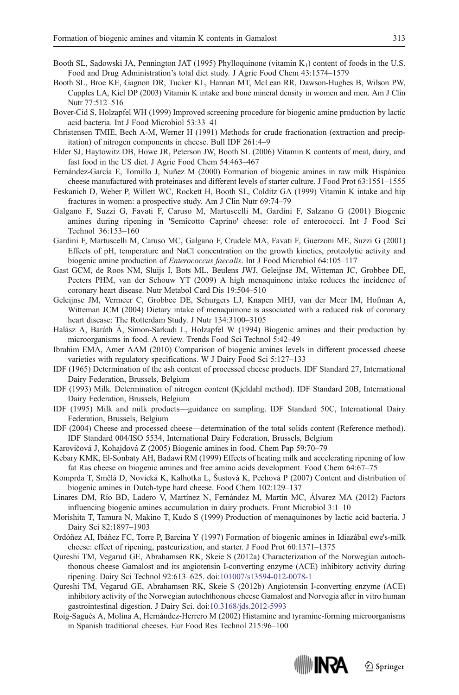- <span id="page-11-0"></span>Booth SL, Sadowski JA, Pennington JAT (1995) Phylloquinone (vitamin  $K_1$ ) content of foods in the U.S. Food and Drug Administration's total diet study. J Agric Food Chem 43:1574–1579
- Booth SL, Broe KE, Gagnon DR, Tucker KL, Hannan MT, McLean RR, Dawson-Hughes B, Wilson PW, Cupples LA, Kiel DP (2003) Vitamin K intake and bone mineral density in women and men. Am J Clin Nutr 77:512–516
- Bover-Cid S, Holzapfel WH (1999) Improved screening procedure for biogenic amine production by lactic acid bacteria. Int J Food Microbiol 53:33–41
- Christensen TMIE, Bech A-M, Werner H (1991) Methods for crude fractionation (extraction and precipitation) of nitrogen components in cheese. Bull IDF 261:4–9
- Elder SJ, Haytowitz DB, Howe JR, Peterson JW, Booth SL (2006) Vitamin K contents of meat, dairy, and fast food in the US diet. J Agric Food Chem 54:463–467
- Fernández-García E, Tomillo J, Nuñez M (2000) Formation of biogenic amines in raw milk Hispánico cheese manufactured with proteinases and different levels of starter culture. J Food Prot 63:1551–1555
- Feskanich D, Weber P, Willett WC, Rockett H, Booth SL, Colditz GA (1999) Vitamin K intake and hip fractures in women: a prospective study. Am J Clin Nutr 69:74–79
- Galgano F, Suzzi G, Favati F, Caruso M, Martuscelli M, Gardini F, Salzano G (2001) Biogenic amines during ripening in 'Semicotto Caprino' cheese: role of enterococci. Int J Food Sci Technol 36:153–160
- Gardini F, Martuscelli M, Caruso MC, Galgano F, Crudele MA, Favati F, Guerzoni ME, Suzzi G (2001) Effects of pH, temperature and NaCl concentration on the growth kinetics, proteolytic activity and biogenic amine production of Enterococcus faecalis. Int J Food Microbiol 64:105–117
- Gast GCM, de Roos NM, Sluijs I, Bots ML, Beulens JWJ, Geleijnse JM, Witteman JC, Grobbee DE, Peeters PHM, van der Schouw YT (2009) A high menaquinone intake reduces the incidence of coronary heart disease. Nutr Metabol Card Dis 19:504–510
- Geleijnse JM, Vermeer C, Grobbee DE, Schurgers LJ, Knapen MHJ, van der Meer IM, Hofman A, Witteman JCM (2004) Dietary intake of menaquinone is associated with a reduced risk of coronary heart disease: The Rotterdam Study. J Nutr 134:3100–3105
- Halász A, Baráth Á, Simon-Sarkadi L, Holzapfel W (1994) Biogenic amines and their production by microorganisms in food. A review. Trends Food Sci Technol 5:42–49
- Ibrahim EMA, Amer AAM (2010) Comparison of biogenic amines levels in different processed cheese varieties with regulatory specifications. W J Dairy Food Sci 5:127–133
- IDF (1965) Determination of the ash content of processed cheese products. IDF Standard 27, International Dairy Federation, Brussels, Belgium
- IDF (1993) Milk. Determination of nitrogen content (Kjeldahl method). IDF Standard 20B, International Dairy Federation, Brussels, Belgium
- IDF (1995) Milk and milk products—guidance on sampling. IDF Standard 50C, International Dairy Federation, Brussels, Belgium
- IDF (2004) Cheese and processed cheese—determination of the total solids content (Reference method). IDF Standard 004/ISO 5534, International Dairy Federation, Brussels, Belgium
- Karovičová J, Kohajdová Z (2005) Biogenic amines in food. Chem Pap 59:70–79
- Kebary KMK, El-Sonbaty AH, Badawi RM (1999) Effects of heating milk and accelerating ripening of low fat Ras cheese on biogenic amines and free amino acids development. Food Chem 64:67–75
- Komprda T, Smělá D, Novická K, Kalhotka L, Šustová K, Pechová P (2007) Content and distribution of biogenic amines in Dutch-type hard cheese. Food Chem 102:129–137
- Linares DM, Río BD, Ladero V, Martínez N, Fernández M, Martín MC, Álvarez MA (2012) Factors influencing biogenic amines accumulation in dairy products. Front Microbiol 3:1–10
- Morishita T, Tamura N, Makino T, Kudo S (1999) Production of menaquinones by lactic acid bacteria. J Dairy Sci 82:1897–1903
- Ordóñez AI, Ibáñez FC, Torre P, Barcina Y (1997) Formation of biogenic amines in Idiazábal ewe's-milk cheese: effect of ripening, pasteurization, and starter. J Food Prot 60:1371–1375
- Qureshi TM, Vegarud GE, Abrahamsen RK, Skeie S (2012a) Characterization of the Norwegian autochthonous cheese Gamalost and its angiotensin I-converting enzyme (ACE) inhibitory activity during ripening. Dairy Sci Technol 92:613–625. doi:[101007/s13594-012-0078-1](http://dx.doi.org/101007/s13594-012-0078-1)
- Qureshi TM, Vegarud GE, Abrahamsen RK, Skeie S (2012b) Angiotensin I-converting enzyme (ACE) inhibitory activity of the Norwegian autochthonous cheese Gamalost and Norvegia after in vitro human gastrointestinal digestion. J Dairy Sci. doi:[10.3168/jds.2012-5993](http://dx.doi.org/10.3168/jds.2012-5993)
- Roig-Sagués A, Molina A, Hernández-Herrero M (2002) Histamine and tyramine-forming microorganisms in Spanish traditional cheeses. Eur Food Res Technol 215:96–100